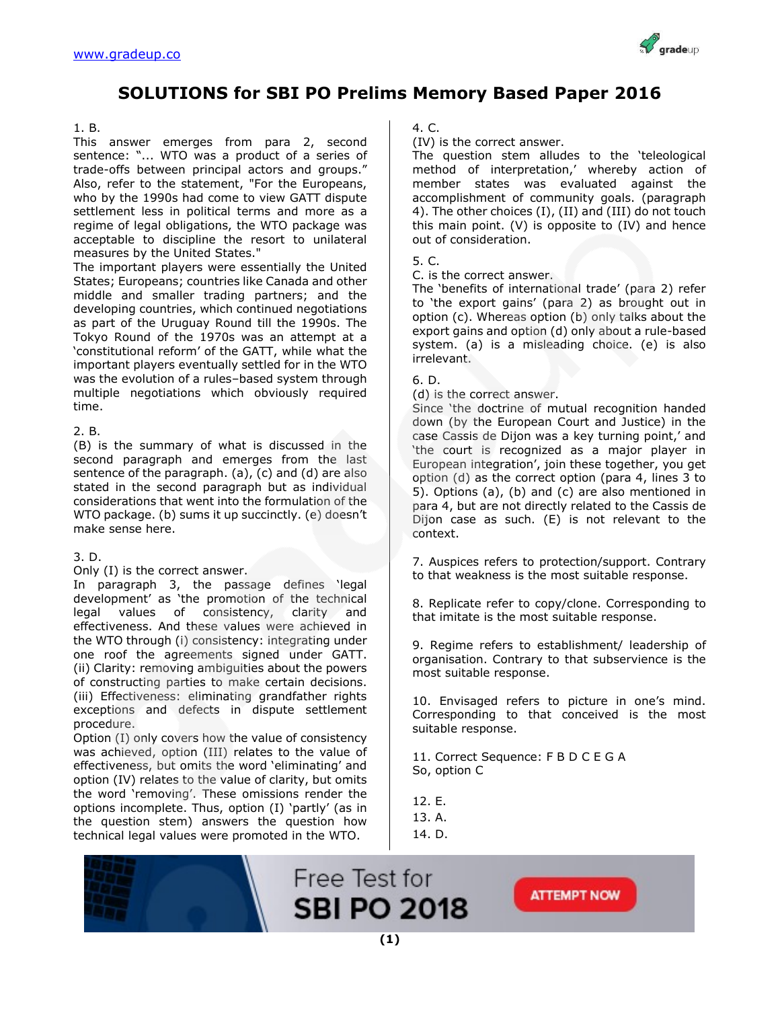

# **SOLUTIONS for SBI PO Prelims Memory Based Paper 2016**

#### 1. B.

This answer emerges from para 2, second sentence: "... WTO was a product of a series of trade-offs between principal actors and groups." Also, refer to the statement, "For the Europeans, who by the 1990s had come to view GATT dispute settlement less in political terms and more as a regime of legal obligations, the WTO package was acceptable to discipline the resort to unilateral measures by the United States."

The important players were essentially the United States; Europeans; countries like Canada and other middle and smaller trading partners; and the developing countries, which continued negotiations as part of the Uruguay Round till the 1990s. The Tokyo Round of the 1970s was an attempt at a 'constitutional reform' of the GATT, while what the important players eventually settled for in the WTO was the evolution of a rules–based system through multiple negotiations which obviously required time.

#### 2. B.

(B) is the summary of what is discussed in the second paragraph and emerges from the last sentence of the paragraph. (a), (c) and (d) are also stated in the second paragraph but as individual considerations that went into the formulation of the WTO package. (b) sums it up succinctly. (e) doesn't make sense here.

#### 3. D.

Only (I) is the correct answer.

In paragraph 3, the passage defines 'legal development' as 'the promotion of the technical legal values of consistency, clarity and effectiveness. And these values were achieved in the WTO through (i) consistency: integrating under one roof the agreements signed under GATT. (ii) Clarity: removing ambiguities about the powers of constructing parties to make certain decisions. (iii) Effectiveness: eliminating grandfather rights exceptions and defects in dispute settlement procedure.

Option (I) only covers how the value of consistency was achieved, option (III) relates to the value of effectiveness, but omits the word 'eliminating' and option (IV) relates to the value of clarity, but omits the word 'removing'. These omissions render the options incomplete. Thus, option (I) 'partly' (as in the question stem) answers the question how technical legal values were promoted in the WTO.

#### 4. C.

(IV) is the correct answer.

The question stem alludes to the 'teleological method of interpretation,' whereby action of member states was evaluated against the accomplishment of community goals. (paragraph 4). The other choices (I), (II) and (III) do not touch this main point. (V) is opposite to (IV) and hence out of consideration.

#### 5. C.

C. is the correct answer.

The 'benefits of international trade' (para 2) refer to 'the export gains' (para 2) as brought out in option (c). Whereas option (b) only talks about the export gains and option (d) only about a rule-based system. (a) is a misleading choice. (e) is also irrelevant.

#### 6. D.

(d) is the correct answer.

Since 'the doctrine of mutual recognition handed down (by the European Court and Justice) in the case Cassis de Dijon was a key turning point,' and 'the court is recognized as a major player in European integration', join these together, you get option (d) as the correct option (para 4, lines 3 to 5). Options (a), (b) and (c) are also mentioned in para 4, but are not directly related to the Cassis de Dijon case as such. (E) is not relevant to the context.

7. Auspices refers to protection/support. Contrary to that weakness is the most suitable response.

8. Replicate refer to copy/clone. Corresponding to that imitate is the most suitable response.

9. Regime refers to establishment/ leadership of organisation. Contrary to that subservience is the most suitable response.

10. Envisaged refers to picture in one's mind. Corresponding to that conceived is the most suitable response.

11. Correct Sequence: F B D C E G A So, option C

12. E.

13. A. 14. D.



Free Test for **SBI PO 2018**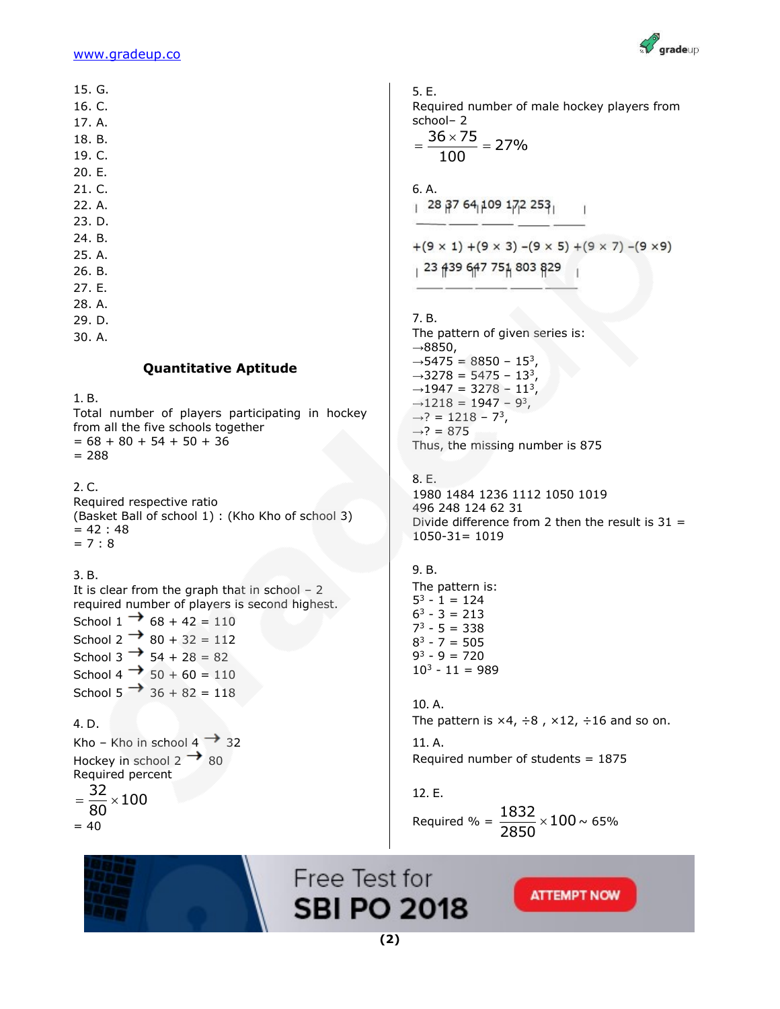

15. G.

- 16. C.
- 17. A.
- 18. B.
- 19. C.
- 20. E.
- 21. C.
- 22. A.
- 23. D.
- 24. B.
- 25. A.
- 26. B.
- 27. E.
- 28. A.
- 29. D.
- 30. A.

#### **Quantitative Aptitude**

1. B.

Total number of players participating in hockey from all the five schools together  $= 68 + 80 + 54 + 50 + 36$  $= 288$ 

2. C.

Required respective ratio (Basket Ball of school 1) : (Kho Kho of school 3)  $= 42 : 48$  $= 7 : 8$ 

### 3. B.

It is clear from the graph that in school  $-2$ required number of players is second highest. School  $1 \rightarrow 68 + 42 = 110$ 

School 2  $\rightarrow$  80 + 32 = 112 School 3  $\rightarrow$  54 + 28 = 82 School 4  $\rightarrow$  50 + 60 = 110 School 5  $\rightarrow$  36 + 82 = 118

4. D. Kho – Kho in school  $4 \rightarrow 32$ Hockey in school  $2 \rightarrow 80$ Required percent

 $\frac{32}{22}$  × 100 80  $=\frac{52}{22} \times$  $= 40$ 

5. E. Required number of male hockey players from school– 2  $\frac{36 \times 75}{122} = 27\%$  $=\frac{36\times75}{100}=2$ 100 6. A.  $+(9 \times 1)$  +  $(9 \times 3)$  -  $(9 \times 5)$  +  $(9 \times 7)$  -  $(9 \times 9)$ 23 439 647 751 803 829 7. B. The pattern of given series is:  $\rightarrow$ 8850,  $\rightarrow$  5475 = 8850 - 15<sup>3</sup>,  $\rightarrow$ 3278 = 5475 - 13<sup>3</sup>,  $\rightarrow$ 1947 = 3278 - 11<sup>3</sup>,  $\rightarrow$ 1218 = 1947 - 9<sup>3</sup>,  $\rightarrow$ ? = 1218 – 7<sup>3</sup>,  $\rightarrow$ ? = 875 Thus, the missing number is 875 8. E. 1980 1484 1236 1112 1050 1019 496 248 124 62 31 Divide difference from 2 then the result is  $31 =$ 1050-31= 1019 9. B. The pattern is:  $5^3 - 1 = 124$  $6^3 - 3 = 213$  $7^3 - 5 = 338$  $8^3 - 7 = 505$ 9 <sup>3</sup> - 9 = 720  $10^3 - 11 = 989$ 10. A. The pattern is  $\times 4$ ,  $\div 8$ ,  $\times 12$ ,  $\div 16$  and so on. 11. A. Required number of students = 1875

12. E.

Required % =  $\frac{1832}{2052} \times 100$ 2850  $\times\,100$   $\sim\,65\%$ 



Free Test for **SBI PO 2018**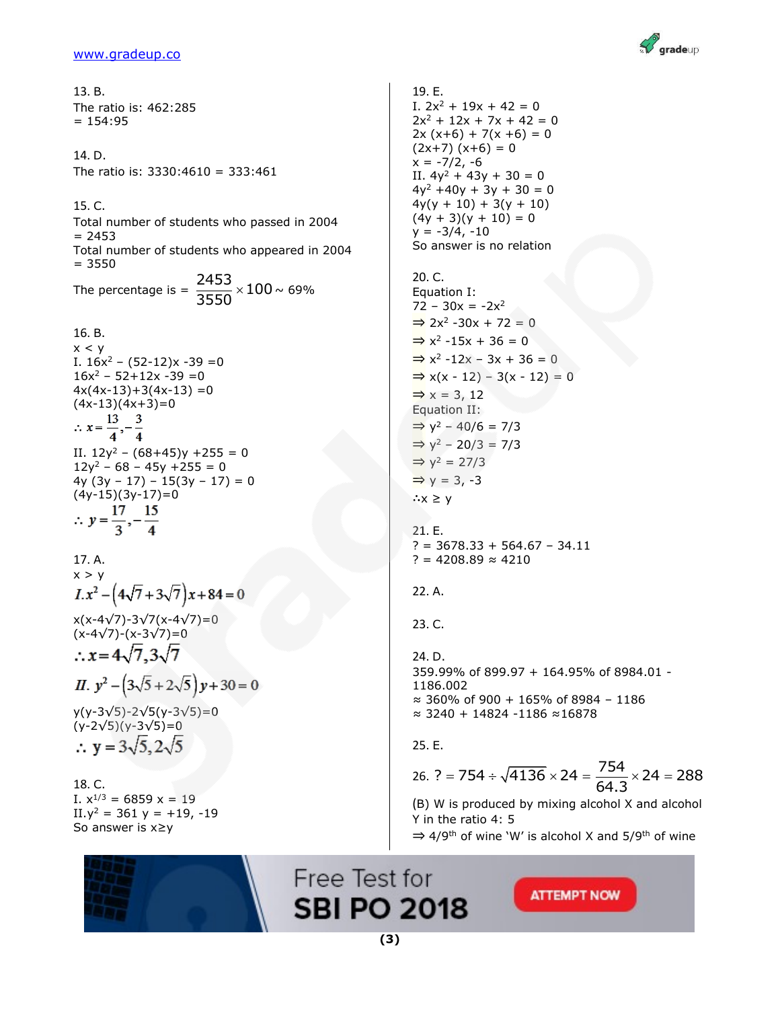

13. B. The ratio is: 462:285  $= 154:95$ 14. D. The ratio is: 3330:4610 = 333:461 15. C. Total number of students who passed in 2004  $= 2453$ Total number of students who appeared in 2004  $= 3550$ The percentage is =  $\frac{2453}{2558} \times 100$  $\times 100$   $\sim$  69% 3550 16. B.  $x < y$ I.  $16x^2 - (52-12)x - 39 = 0$  $16x^2 - 52 + 12x - 39 = 0$  $4x(4x-13)+3(4x-13)=0$  $(4x-13)(4x+3)=0$  $\therefore x = \frac{13}{4}, -\frac{3}{4}$ II.  $12y^2 - (68+45)y + 255 = 0$  $12y^2 - 68 - 45y + 255 = 0$ 4y  $(3y - 17) - 15(3y - 17) = 0$  $(4y-15)(3y-17)=0$  $\therefore y = \frac{17}{3}, -\frac{15}{4}$ 

17. A.  $x > y$  $I.x^2 - (4\sqrt{7} + 3\sqrt{7})x + 84 = 0$ x(x-4√7)-3√7(x-4√7)=0 (x-4√7)-(x-3√7)=0  $\therefore$  x = 4 $\sqrt{7}$ , 3 $\sqrt{7}$ II.  $y^2 - (3\sqrt{5} + 2\sqrt{5})y + 30 = 0$ 

y(y-3√5)-2√5(y-3√5)=0  $(y-2\sqrt{5})(y-3\sqrt{5})=0$  $\therefore$  y = 3 $\sqrt{5}$ , 2 $\sqrt{5}$ 

18. C. I.  $x^{1/3} = 6859 x = 19$ II. $y^2 = 361$  y = +19, -19 So answer is x≥y



19. E. I.  $2x^2 + 19x + 42 = 0$  $2x^2 + 12x + 7x + 42 = 0$  $2x (x+6) + 7(x +6) = 0$  $(2x+7)$   $(x+6) = 0$  $x = -7/2, -6$ II.  $4y^2 + 43y + 30 = 0$  $4y^2 + 40y + 3y + 30 = 0$  $4y(y + 10) + 3(y + 10)$  $(4y + 3)(y + 10) = 0$  $y = -3/4, -10$ So answer is no relation 20. C. Equation I:  $72 - 30x = -2x^2$  $\Rightarrow$  2x<sup>2</sup> -30x + 72 = 0

 $\Rightarrow$  x<sup>2</sup> -15x + 36 = 0  $\Rightarrow$  x<sup>2</sup> -12x - 3x + 36 = 0  $\Rightarrow$  x(x - 12) – 3(x - 12) = 0  $\Rightarrow$  x = 3, 12 Equation II:  $\Rightarrow$  y<sup>2</sup> - 40/6 = 7/3  $\Rightarrow$  y<sup>2</sup> - 20/3 = 7/3  $\Rightarrow$  y<sup>2</sup> = 27/3  $\Rightarrow y = 3, -3$ ∴x ≥ y

21. E.  $? = 3678.33 + 564.67 - 34.11$  $? = 4208.89 \approx 4210$ 

$$
22.\;A.
$$

23. C.

24. D. 359.99% of 899.97 + 164.95% of 8984.01 - 1186.002 ≈ 360% of 900 + 165% of 8984 – 1186 ≈ 3240 + 14824 -1186 ≈16878

25. E.

25. e.  
26. ? = 754 ÷ 
$$
\sqrt{4136} \times 24 = \frac{754}{64.3} \times 24 = 288
$$

(B) W is produced by mixing alcohol X and alcohol Y in the ratio 4: 5

 $\Rightarrow$  4/9<sup>th</sup> of wine `W' is alcohol X and 5/9<sup>th</sup> of wine

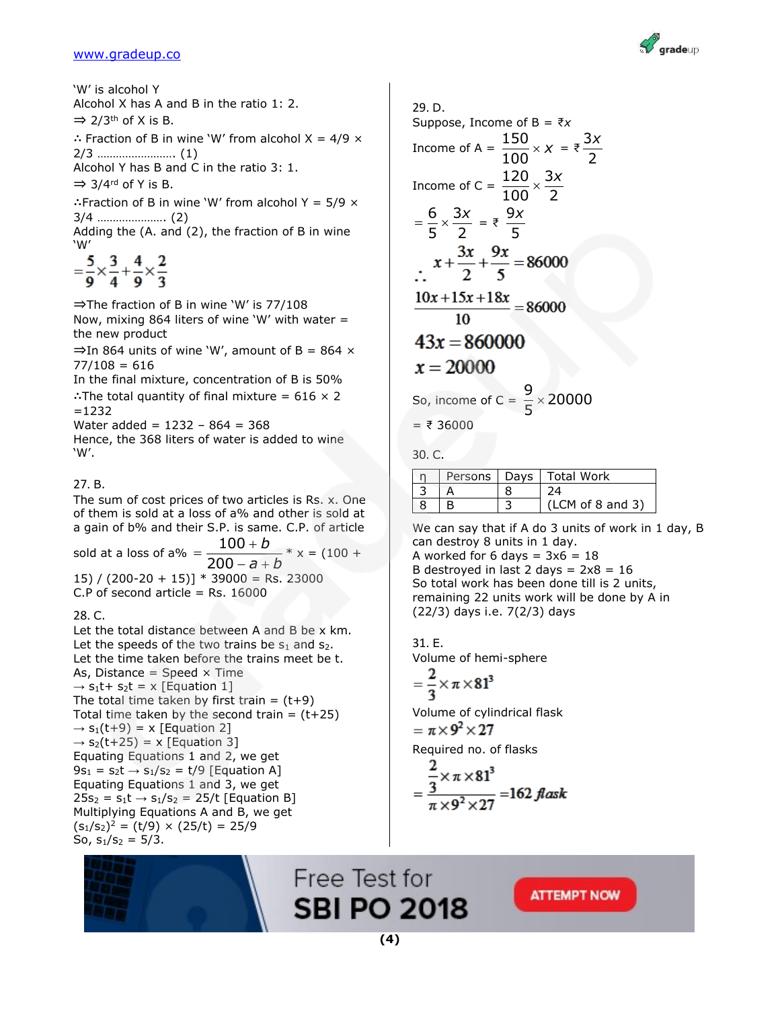'W' is alcohol Y Alcohol X has A and B in the ratio 1: 2.  $\Rightarrow$  2/3<sup>th</sup> of X is B. ∴ Fraction of B in wine 'W' from alcohol  $X = 4/9 \times$ 2/3 ……………………. (1) Alcohol Y has B and C in the ratio 3: 1.  $\Rightarrow$  3/4<sup>rd</sup> of Y is B. ∴Fraction of B in wine 'W' from alcohol Y =  $5/9 \times$ 3/4 …………………. (2) Adding the (A. and (2), the fraction of B in wine 'W'  $=\frac{5}{2} \times \frac{3}{4} + \frac{4}{2} \times \frac{2}{3}$ ⇒The fraction of B in wine 'W' is 77/108

Now, mixing 864 liters of wine 'W' with water  $=$ the new product

 $\Rightarrow$  In 864 units of wine 'W', amount of B = 864  $\times$  $77/108 = 616$ 

In the final mixture, concentration of B is 50% ∴The total quantity of final mixture =  $616 \times 2$  $=1232$ 

Water added =  $1232 - 864 = 368$ Hence, the 368 liters of water is added to wine 'W'.

#### 27. B.

The sum of cost prices of two articles is Rs. x. One of them is sold at a loss of a% and other is sold at a gain of b% and their S.P. is same. C.P. of article sold at a loss of a%  $=\frac{100}{200}$ 200 *b a b*  $=\frac{100+}{200}$  $- a + l$  $- * x = (100 +$ 15) /  $(200-20 + 15)$  \* 39000 = Rs. 23000

C.P of second article  $=$  Rs. 16000

#### 28. C.

Let the total distance between A and B be x km. Let the speeds of the two trains be  $s_1$  and  $s_2$ . Let the time taken before the trains meet be t. As, Distance = Speed  $\times$  Time  $\rightarrow$  s<sub>1</sub>t+ s<sub>2</sub>t = x [Equation 1] The total time taken by first train =  $(t+9)$ Total time taken by the second train =  $(t+25)$  $\rightarrow$  s<sub>1</sub>(t+9) = x [Equation 2]  $\rightarrow$  s<sub>2</sub>(t+25) = x [Equation 3] Equating Equations 1 and 2, we get  $9s_1 = s_2t \rightarrow s_1/s_2 = t/9$  [Equation A] Equating Equations 1 and 3, we get  $25s_2 = s_1t \rightarrow s_1/s_2 = 25/t$  [Equation B] Multiplying Equations A and B, we get  $(s_1/s_2)^2 = (t/9) \times (25/t) = 25/9$ So,  $s_1/s_2 = 5/3$ .

29. D. Suppose, Income of  $B = \overline{\tau}x$ Income of A =  $\frac{150}{120}$  $\times x = \overline{z} - \frac{3}{5}$ *x* 100 2 Income of C =  $\frac{120}{122} \times \frac{3}{4}$  $\times \frac{3x}{2}$  $100$   $2$  $=\frac{6}{5} \times \frac{3x}{5} = \frac{9}{5}$ 6 3 *x*  $5^{\circ}$  2 5  $x+\frac{3x}{2}+\frac{9x}{5}=86000$  $\frac{10x+15x+18x}{10} = 86000$ 10  $43x = 860000$  $x = 20000$ So, income of C =  $\frac{9}{5} \times 20000$  $\times$ 5  $= ₹ 36000$ 

30. C.

|  | Persons   Days   Total Work |
|--|-----------------------------|
|  |                             |
|  | (LCM of 8 and 3)            |

We can say that if A do 3 units of work in 1 day, B can destroy 8 units in 1 day. A worked for 6 days =  $3x6 = 18$ B destroyed in last 2 days =  $2x8 = 16$ So total work has been done till is 2 units, remaining 22 units work will be done by A in (22/3) days i.e. 7(2/3) days

31. E. Volume of hemi-sphere  $\mathbf{\Omega}$ 

$$
=\frac{2}{3}\times\pi\times81^3
$$

Volume of cylindrical flask  $=\pi \times 9^2 \times 27$ Required no. of flasks

$$
=\frac{\frac{2}{3} \times \pi \times 81^3}{\pi \times 9^2 \times 27} = 162 \text{ flask}
$$

Free Test for **SBI PO 2018** 

**ATTEMPT NOW** 



 $\equiv$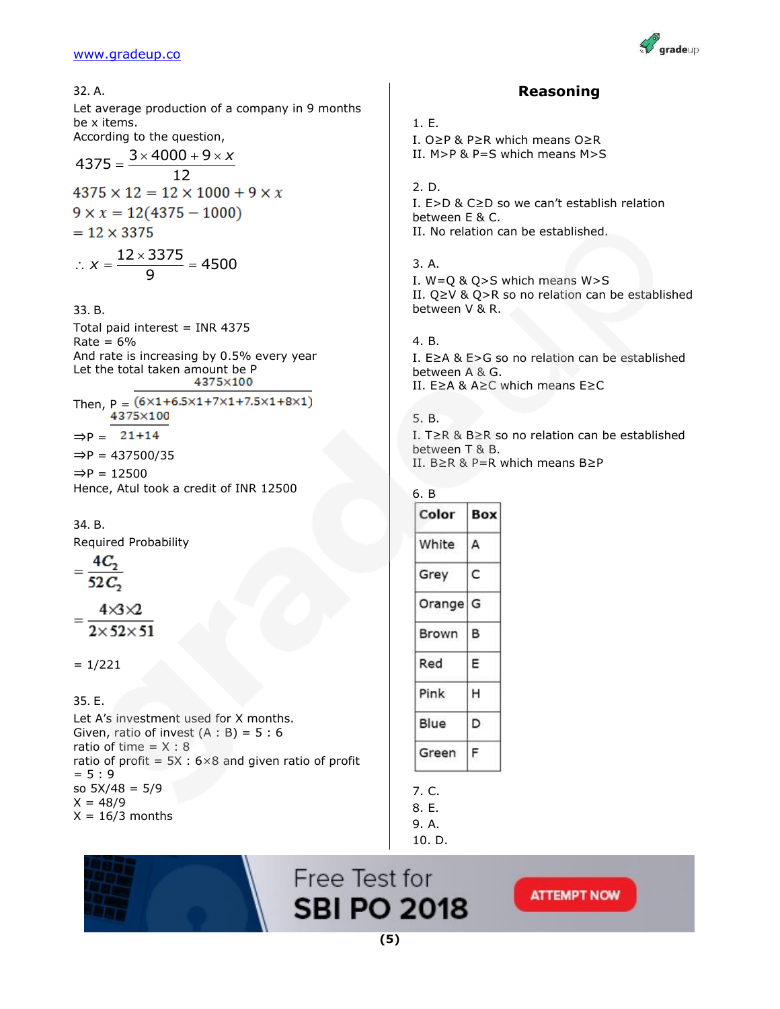

| 32. A.                                                                                                                                         | <b>Reasoning</b>                                                                                                                  |
|------------------------------------------------------------------------------------------------------------------------------------------------|-----------------------------------------------------------------------------------------------------------------------------------|
| Let average production of a company in 9 months<br>be x items.<br>According to the question,<br>$4375 = {3 \times 4000 + 9 \times x \over 12}$ | 1.E.<br>I. $0 \geq P$ & P $\geq R$ which means $0 \geq R$<br>II. $M > P$ & P=S which means $M > S$                                |
| $4375 \times 12 = 12 \times 1000 + 9 \times x$<br>$9 \times x = 12(4375 - 1000)$<br>$= 12 \times 3375$                                         | 2. D.<br>I. $E>D$ & $C\geq D$ so we can't establish relation<br>between E & C.<br>II. No relation can be established.             |
| $\therefore x = \frac{12 \times 3375}{9} = 4500$<br>33. B.                                                                                     | 3. A.<br>I. $W = Q & Q > S$ which means $W > S$<br>II. $Q \ge V$ & $Q > R$ so no relation can be established<br>between V & R.    |
| Total paid interest = INR 4375<br>$Rate = 6%$                                                                                                  | 4. B.                                                                                                                             |
| And rate is increasing by 0.5% every year<br>Let the total taken amount be P<br>4375×100                                                       | I. $E \geq A$ & $E > G$ so no relation can be established<br>between A & G.<br>II. $E \geq A$ & $A \geq C$ which means $E \geq C$ |
| Then, $P = (6 \times 1 + 6.5 \times 1 + 7 \times 1 + 7.5 \times 1 + 8 \times 1)$<br>4375×100                                                   | 5. B.                                                                                                                             |
| $\Rightarrow P = 21+14$<br>$\Rightarrow P = 437500/35$                                                                                         | I. T $\geq$ R & B $\geq$ R so no relation can be established<br>between T & B.<br>II. $B \ge R$ & P=R which means $B \ge P$       |
| $\Rightarrow P = 12500$<br>Hence, Atul took a credit of INR 12500                                                                              | 6. B                                                                                                                              |
| 34. B.                                                                                                                                         | Color<br><b>Box</b>                                                                                                               |
| Required Probability                                                                                                                           | White<br>A                                                                                                                        |
| $rac{1}{52C_2}$                                                                                                                                | C<br>Grey                                                                                                                         |
| $4 \times 3 \times 2$                                                                                                                          | Orange G                                                                                                                          |
| $2\times52\times51$                                                                                                                            | в<br>Brown                                                                                                                        |
| $= 1/221$                                                                                                                                      | Red<br>Ε                                                                                                                          |
| 35. E.                                                                                                                                         | Pink<br>н                                                                                                                         |
| Let A's investment used for X months.<br>Given, ratio of invest $(A : B) = 5 : 6$                                                              | Blue<br>D                                                                                                                         |
| ratio of time = $X : 8$                                                                                                                        | F<br>Green                                                                                                                        |

ratio of time  $= X : 8$ ratio of profit =  $5X : 6 \times 8$  and given ratio of profit  $= 5 : 9$ so 5X/48 = 5/9  $X = 48/9$  $X = 16/3$  months

# 10. D.Free Test for

7. C. 8. E. 9. A.